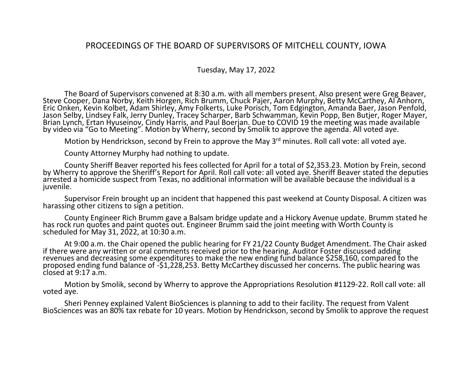## PROCEEDINGS OF THE BOARD OF SUPERVISORS OF MITCHELL COUNTY, IOWA

## Tuesday, May 17, 2022

The Board of Supervisors convened at 8:30 a.m. with all members present. Also present were Greg Beaver, Steve Cooper, Dana Norby, Keith Horgen, Rich Brumm, Chuck Pajer, Aaron Murphy, Betty McCarthey, Al Anhorn, Eric Onken, Kevin Kolbet, Adam Shirley, Amy Folkerts, Luke Porisch, Tom Edgington, Amanda Baer, Jason Penfold, Jason Selby, Lindsey Falk, Jerry Dunley, Tracey Scharper, Barb Schwamman, Kevin Popp, Ben Butjer, Roger Mayer, Brian Lynch, Ertan Hyuseinov, Cindy Harris, and Paul Boerjan. Due to COVID 19 the meeting was made available by video via "Go to Meeting". Motion by Wherry, second by Smolik to approve the agenda. All voted aye.

Motion by Hendrickson, second by Frein to approve the May 3<sup>rd</sup> minutes. Roll call vote: all voted aye.

County Attorney Murphy had nothing to update.

County Sheriff Beaver reported his fees collected for April for a total of \$2,353.23. Motion by Frein, second by Wherry to approve the Sheriff's Report for April. Roll call vote: all voted aye. Sheriff Beaver stated the deputies arrested a homicide suspect from Texas, no additional information will be available because the individual is a juvenile.

Supervisor Frein brought up an incident that happened this past weekend at County Disposal. A citizen was harassing other citizens to sign a petition.

County Engineer Rich Brumm gave a Balsam bridge update and a Hickory Avenue update. Brumm stated he has rock run quotes and paint quotes out. Engineer Brumm said the joint meeting with Worth County is scheduled for May 31, 2022, at 10:30 a.m.

At 9:00 a.m. the Chair opened the public hearing for FY 21/22 County Budget Amendment. The Chair asked if there were any written or oral comments received prior to the hearing. Auditor Foster discussed adding revenues and decreasing some expenditures to make the new ending fund balance \$258,160, compared to the proposed ending fund balance of -\$1,228,253. Betty McCarthey discussed her concerns. The public hearing was closed at 9:17 a.m.

Motion by Smolik, second by Wherry to approve the Appropriations Resolution #1129-22. Roll call vote: all voted aye.

Sheri Penney explained Valent BioSciences is planning to add to their facility. The request from Valent BioSciences was an 80% tax rebate for 10 years. Motion by Hendrickson, second by Smolik to approve the request